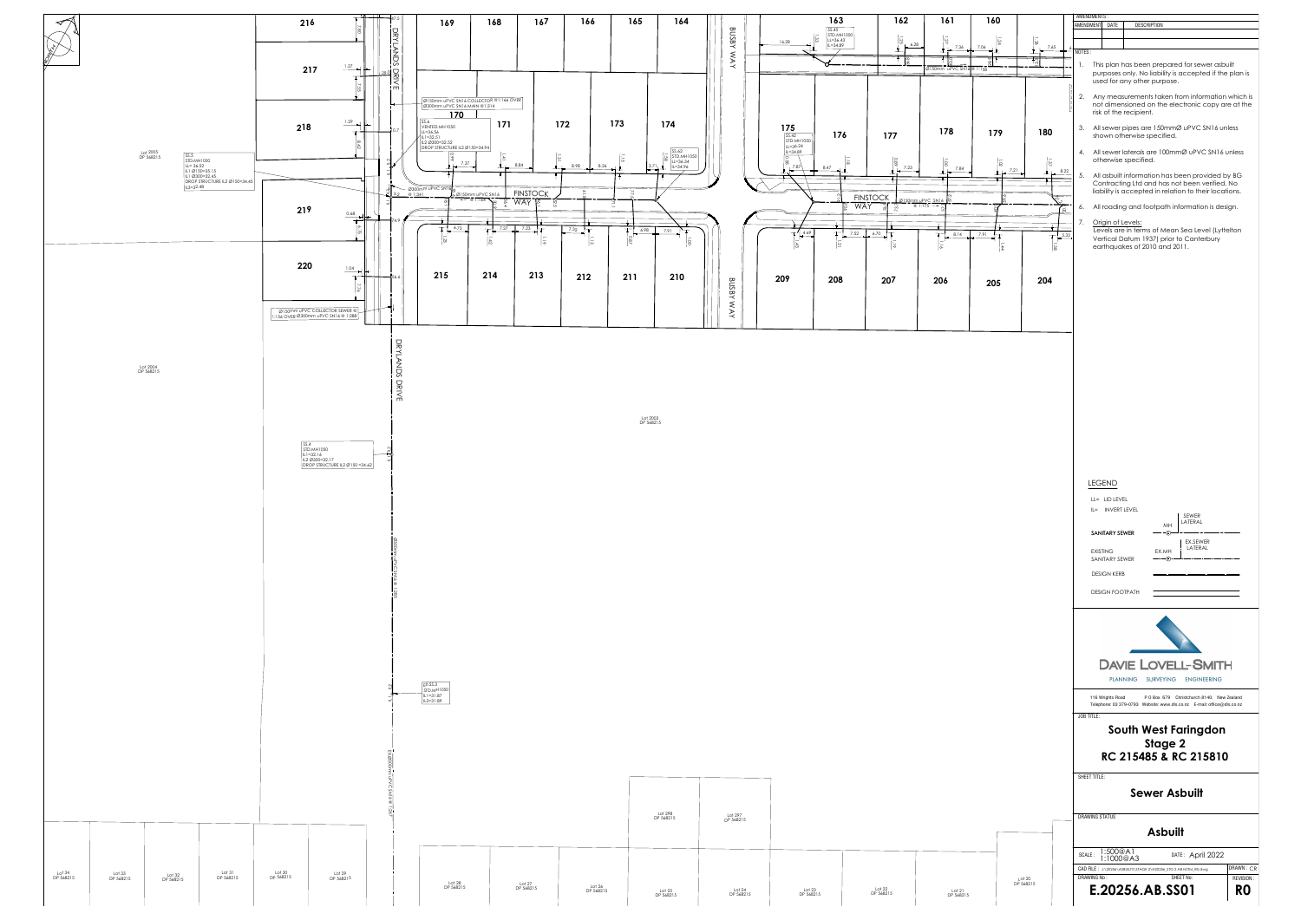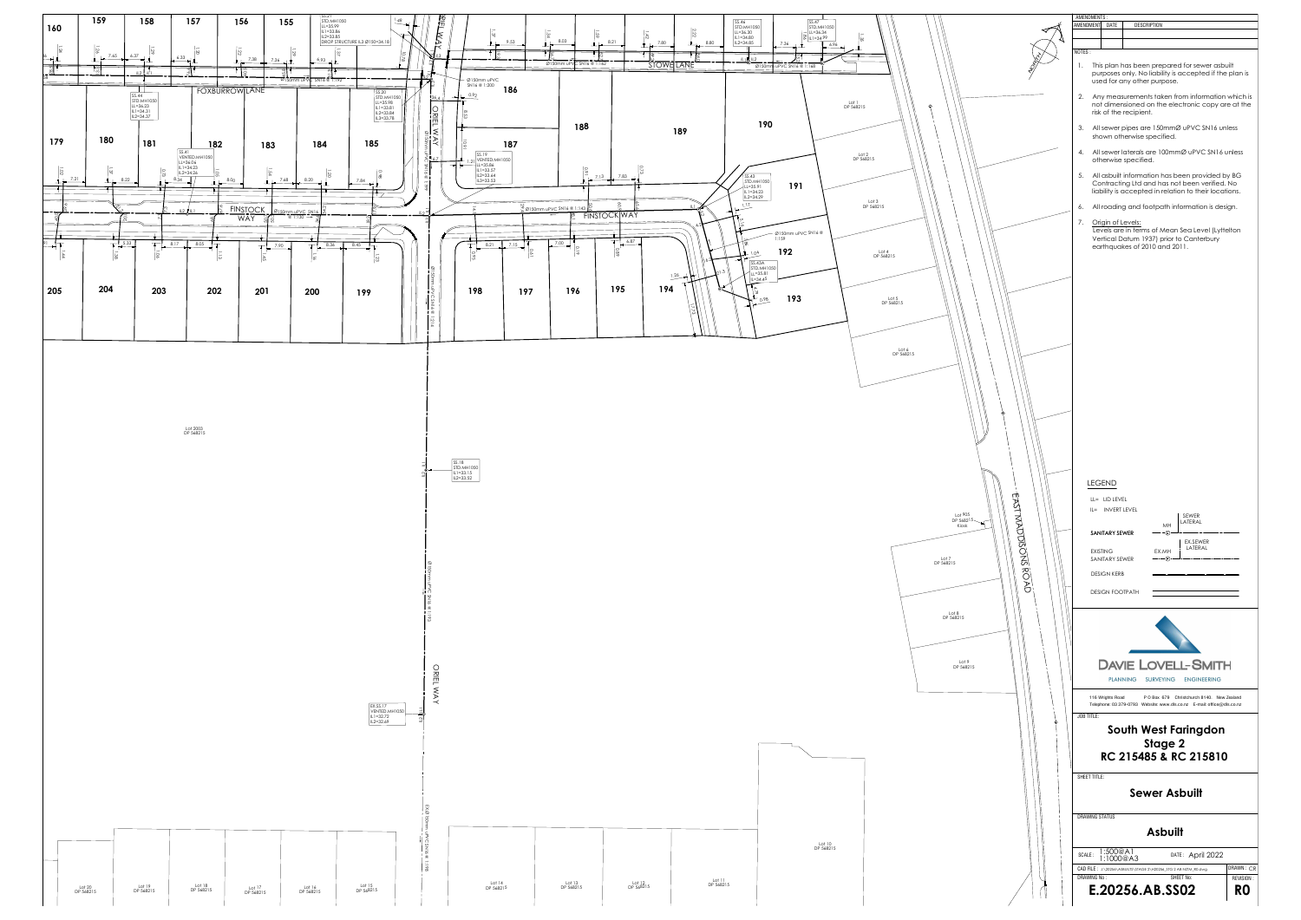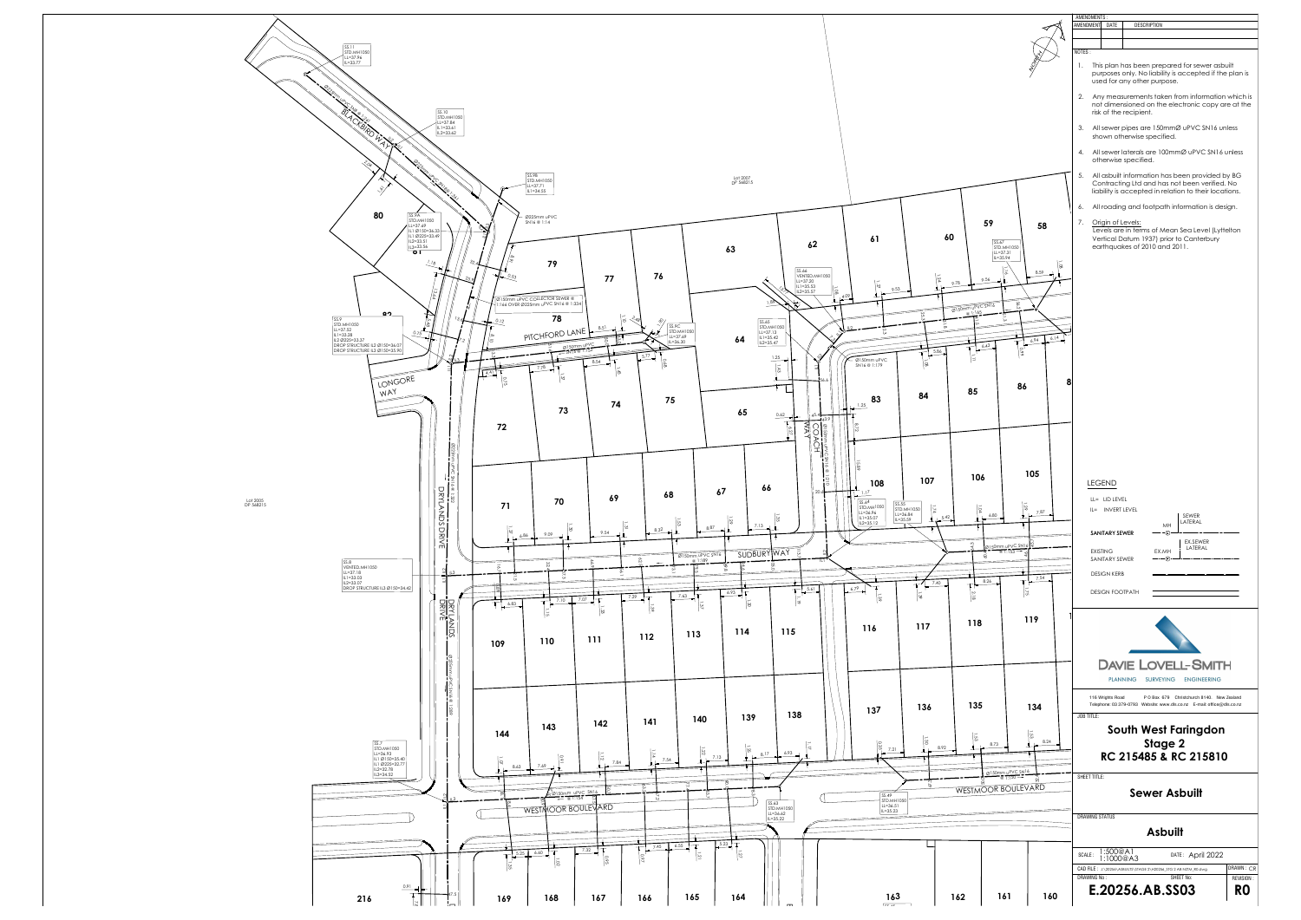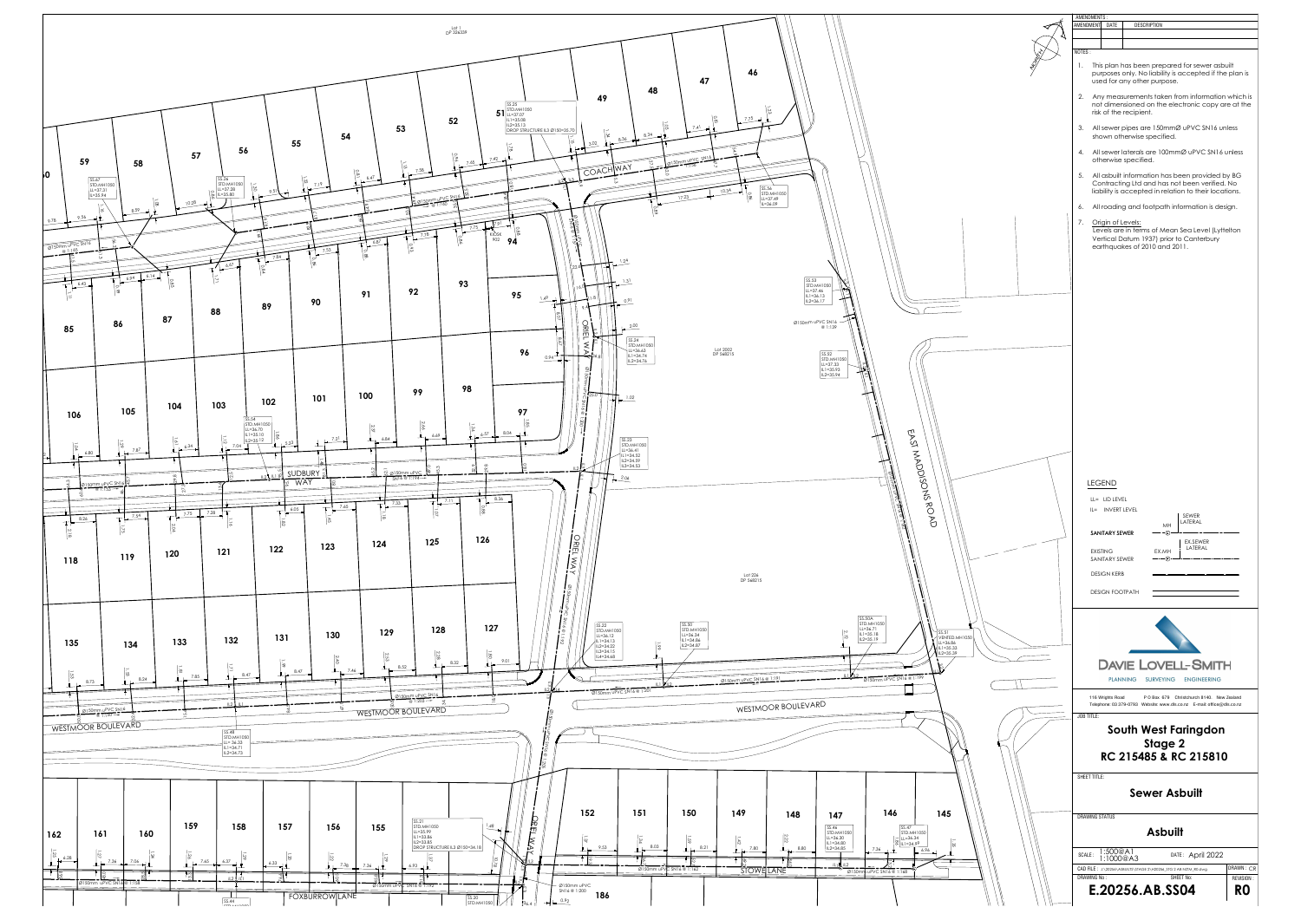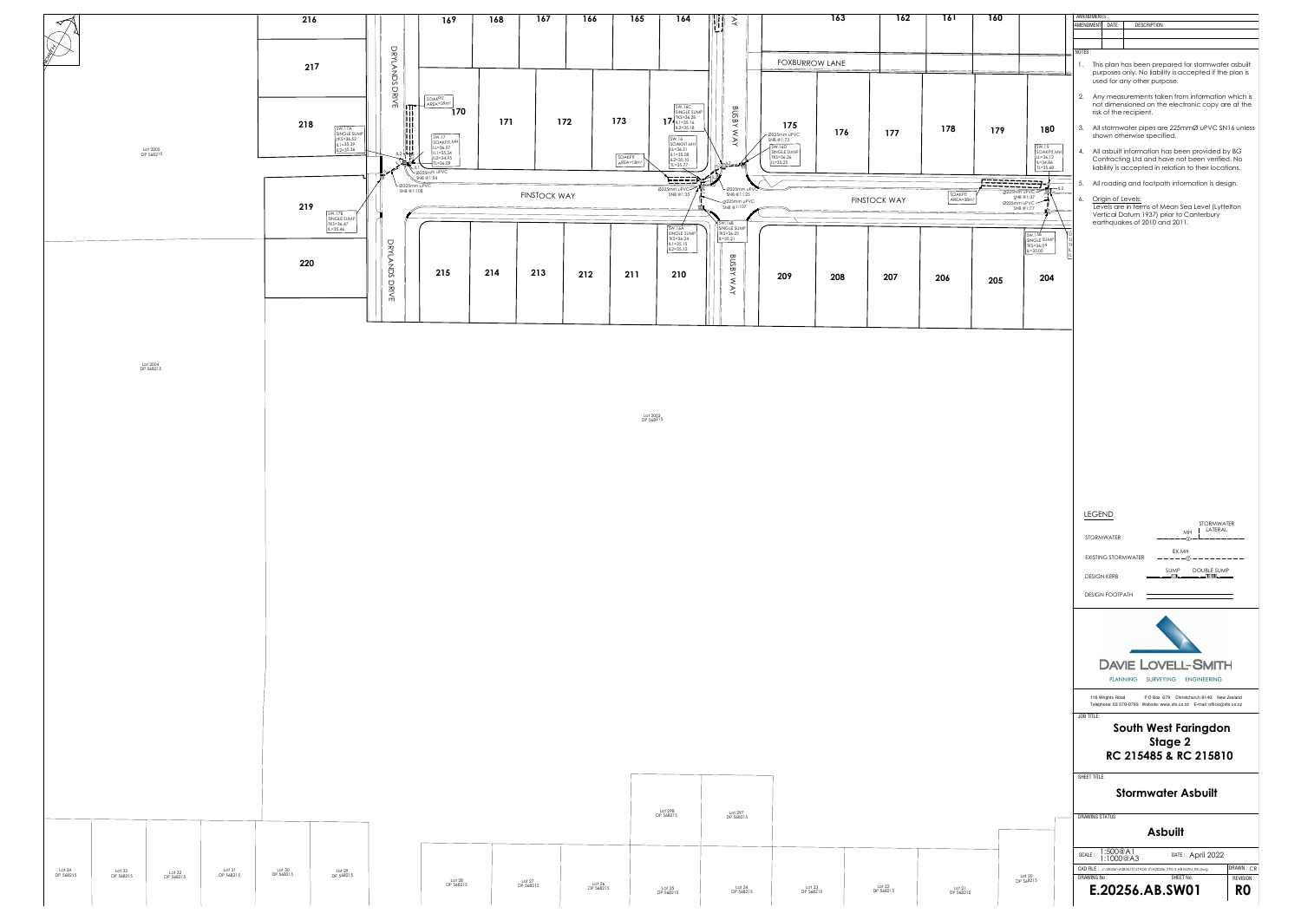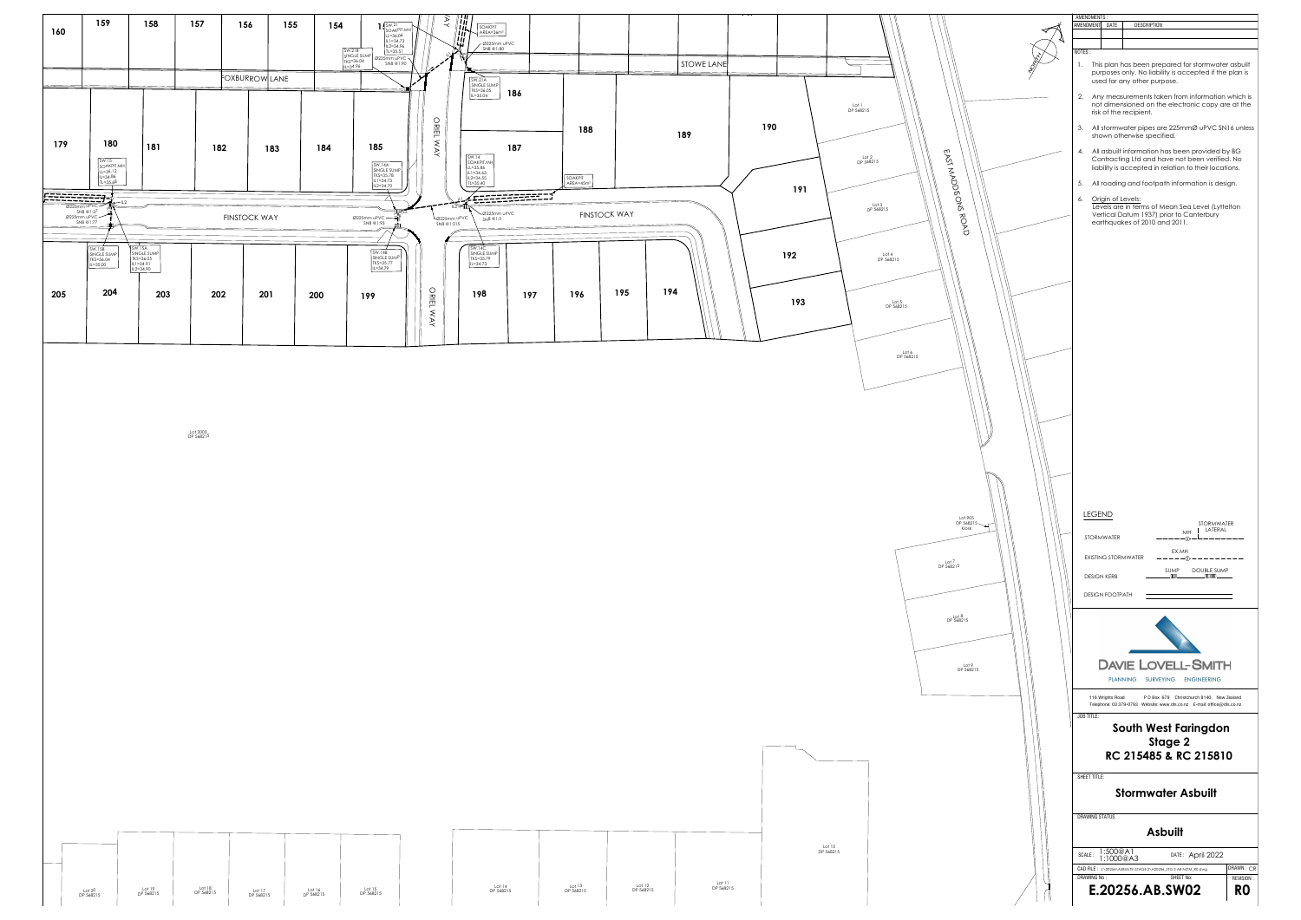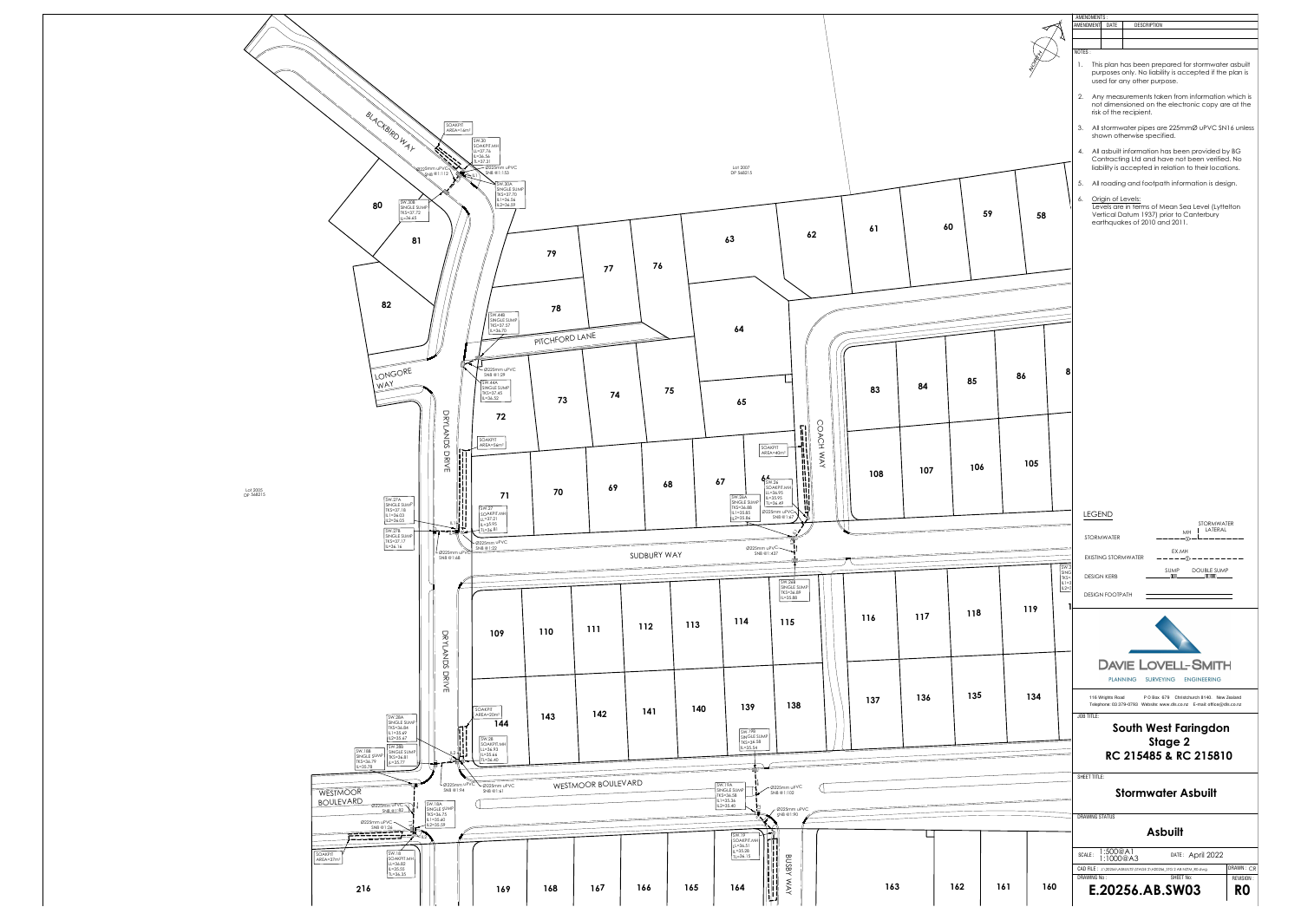![](_page_6_Figure_0.jpeg)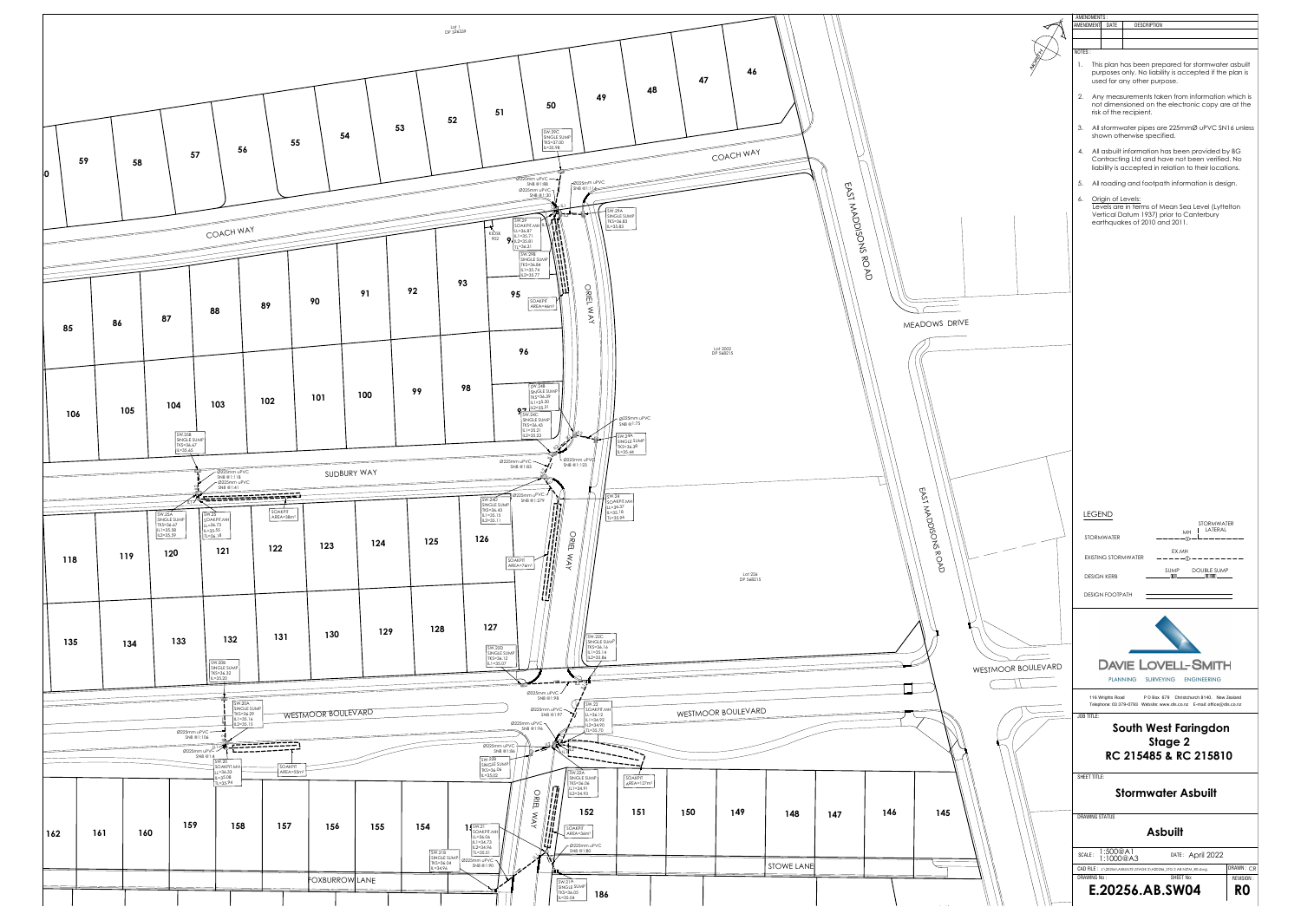![](_page_7_Figure_0.jpeg)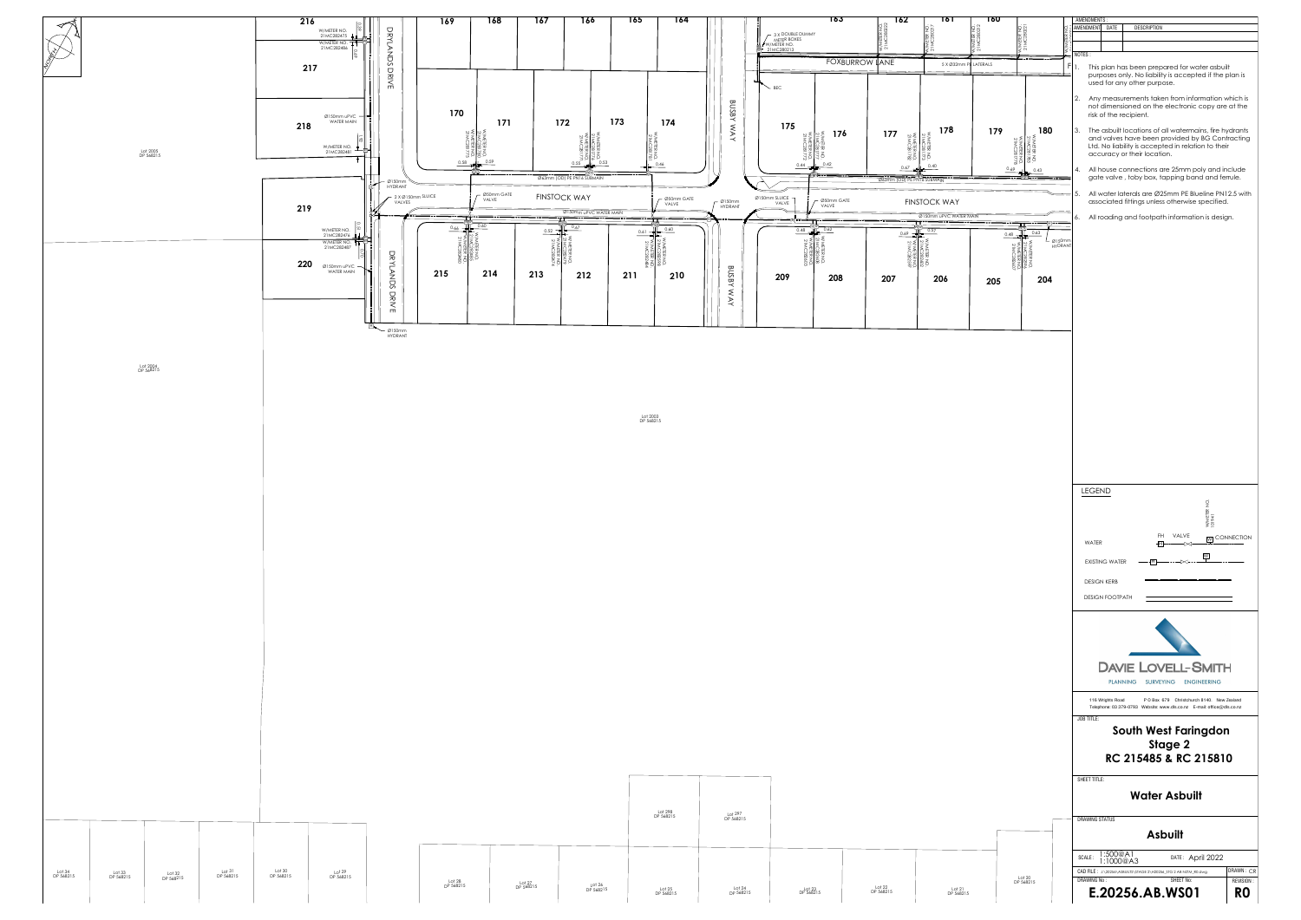![](_page_8_Figure_0.jpeg)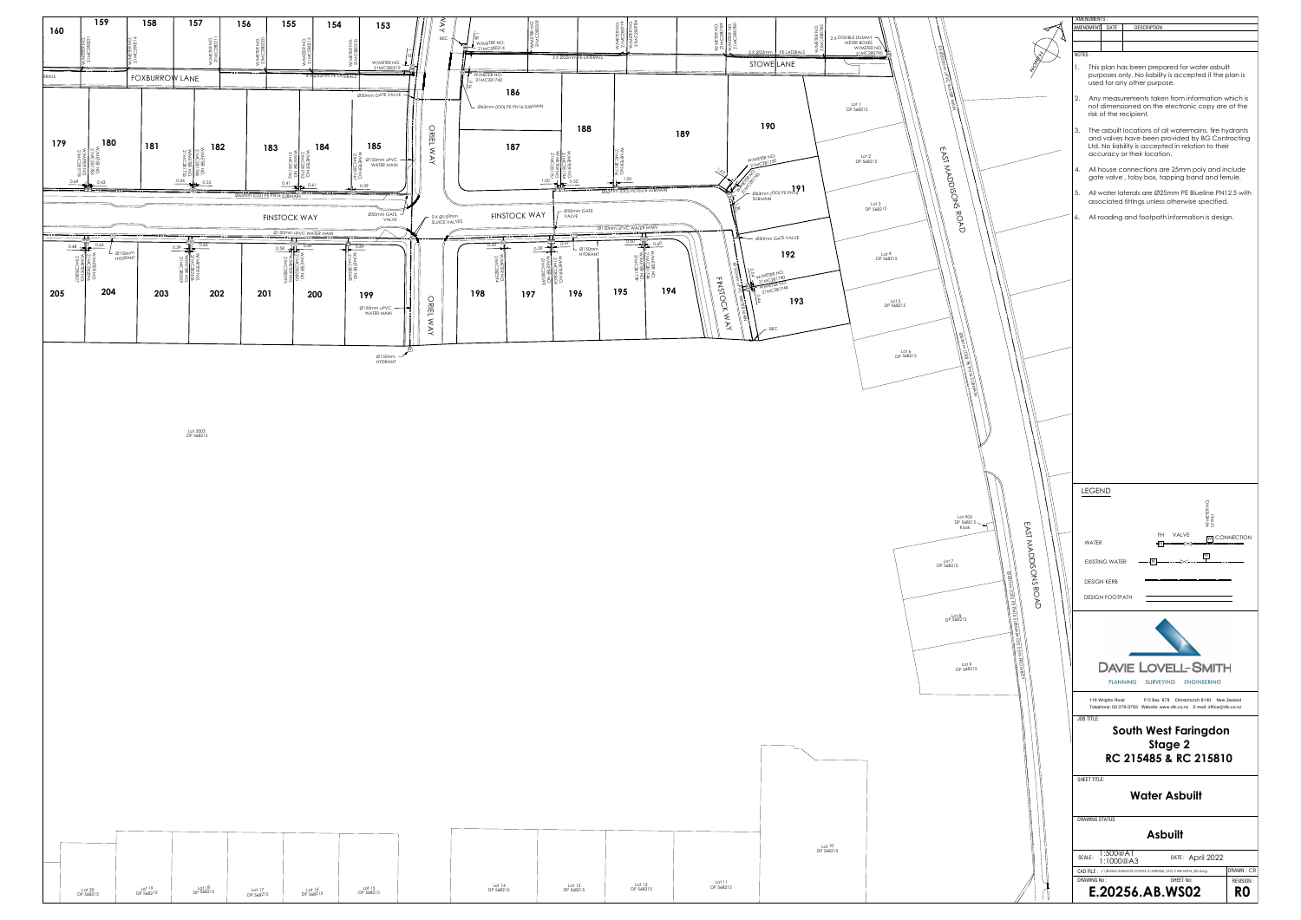![](_page_9_Figure_0.jpeg)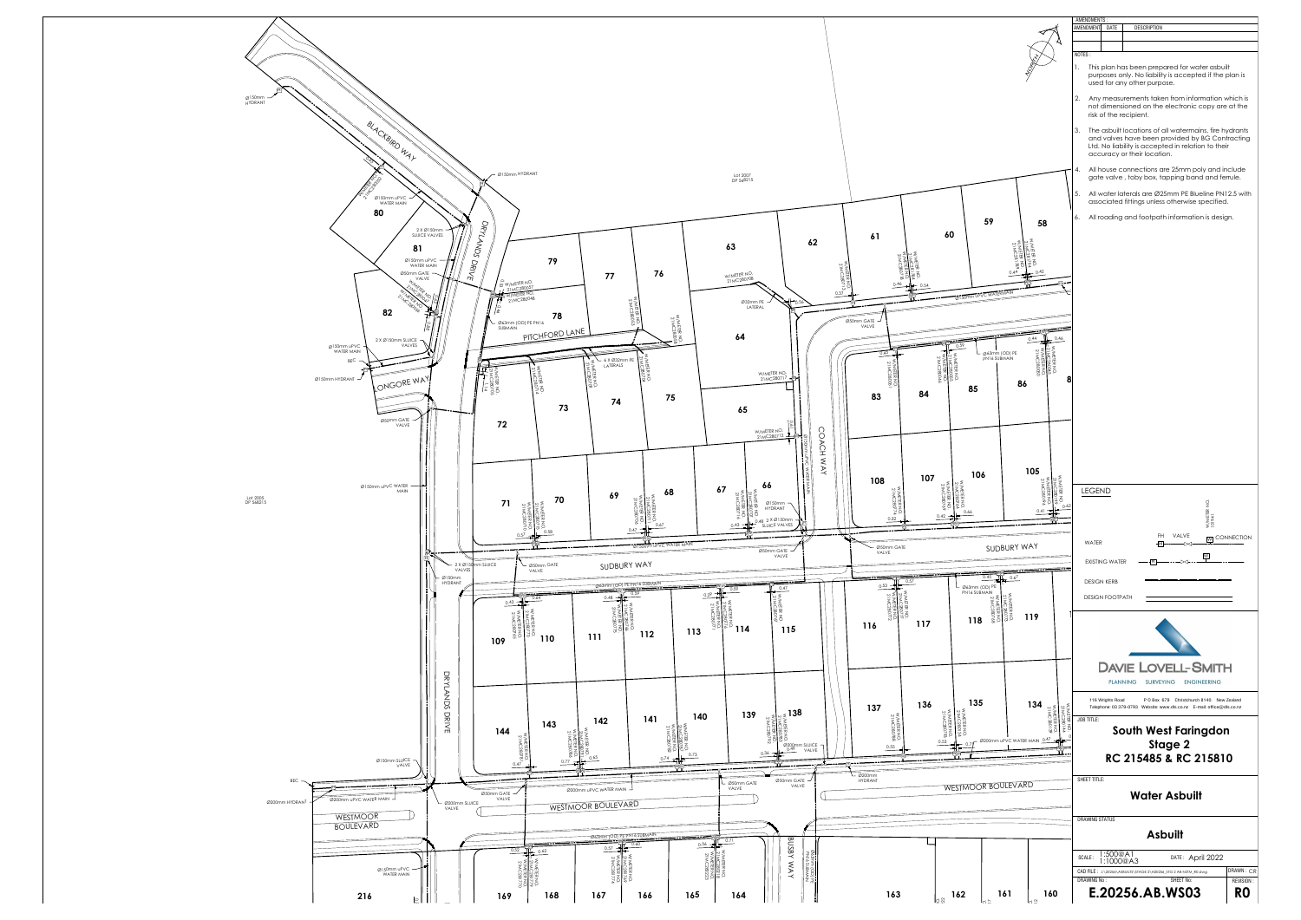![](_page_10_Figure_0.jpeg)